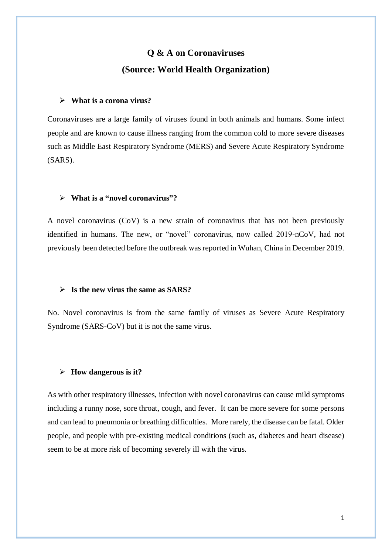# **Q & A on Coronaviruses (Source: World Health Organization)**

### **What is a corona virus?**

Coronaviruses are a large family of viruses found in both animals and humans. Some infect people and are known to cause illness ranging from the common cold to more severe diseases such as Middle East Respiratory Syndrome (MERS) and Severe Acute Respiratory Syndrome (SARS).

### **What is a "novel coronavirus"?**

A novel coronavirus (CoV) is a new strain of coronavirus that has not been previously identified in humans. The new, or "novel" coronavirus, now called 2019-nCoV, had not previously been detected before the outbreak was reported in Wuhan, China in December 2019.

#### **[Is the new virus the same](https://www.who.int/news-room/q-a-detail/q-a-coronaviruses) as SARS?**

No. Novel coronavirus is from the same family of viruses as Severe Acute Respiratory Syndrome (SARS-CoV) but it is not the same virus.

### **[How dangerous is it?](https://www.who.int/news-room/q-a-detail/q-a-coronaviruses)**

As with other respiratory illnesses, infection with novel coronavirus can cause mild symptoms including a runny nose, sore throat, cough, and fever. It can be more severe for some persons and can lead to pneumonia or breathing difficulties. More rarely, the disease can be fatal. Older people, and people with pre-existing medical conditions (such as, diabetes and heart disease) seem to be at more risk of becoming severely ill with the virus.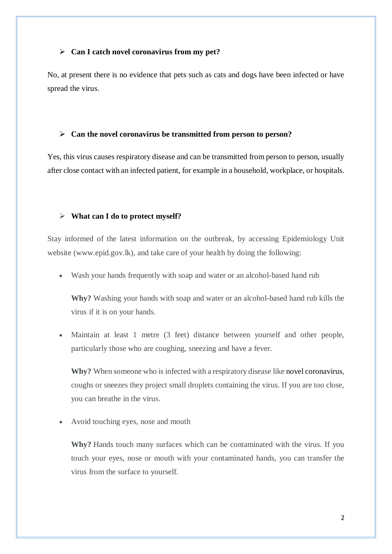### **[Can I catch novel coronavirus](https://www.who.int/news-room/q-a-detail/q-a-coronaviruses) from my pet?**

No, at present there is no evidence that pets such as cats and dogs have been infected or have spread the virus.

### **Can the novel coronavirus [be transmitted from person to person?](https://www.who.int/news-room/q-a-detail/q-a-coronaviruses)**

Yes, this virus causes respiratory disease and can be transmitted from person to person, usually after close contact with an infected patient, for example in a household, workplace, or hospitals.

### **[What can I do to protect myself?](https://www.who.int/news-room/q-a-detail/q-a-coronaviruses)**

Stay informed of the latest information on the outbreak, by accessing Epidemiology Unit website (www.epid.gov.lk), and take care of your health by doing the following:

Wash your hands frequently with soap and water or an alcohol-based hand rub

**Why?** Washing your hands with soap and water or an alcohol-based hand rub kills the virus if it is on your hands.

 Maintain at least 1 metre (3 feet) distance between yourself and other people, particularly those who are coughing, sneezing and have a fever.

**Why?** When someone who is infected with a respiratory disease like novel coronavirus, coughs or sneezes they project small droplets containing the virus. If you are too close, you can breathe in the virus.

Avoid touching eyes, nose and mouth

**Why?** Hands touch many surfaces which can be contaminated with the virus. If you touch your eyes, nose or mouth with your contaminated hands, you can transfer the virus from the surface to yourself.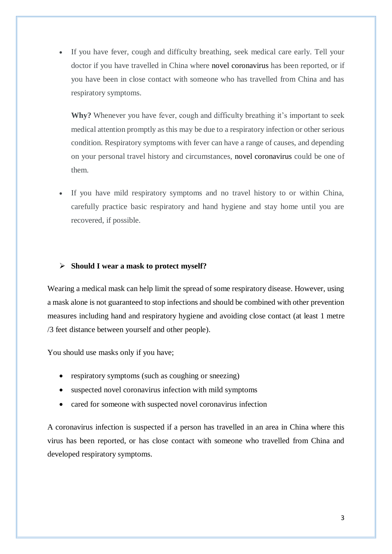If you have fever, cough and difficulty breathing, seek medical care early. Tell your doctor if you have travelled in China where novel coronavirus has been reported, or if you have been in close contact with someone who has travelled from China and has respiratory symptoms.

**Why?** Whenever you have fever, cough and difficulty breathing it's important to seek medical attention promptly as this may be due to a respiratory infection or other serious condition. Respiratory symptoms with fever can have a range of causes, and depending on your personal travel history and circumstances, novel coronavirus could be one of them.

 If you have mild respiratory symptoms and no travel history to or within China, carefully practice basic respiratory and hand hygiene and stay home until you are recovered, if possible.

### **[Should I wear a mask to protect myself?](https://www.who.int/news-room/q-a-detail/q-a-coronaviruses)**

Wearing a medical mask can help limit the spread of some respiratory disease. However, using a mask alone is not guaranteed to stop infections and should be combined with other prevention measures including hand and respiratory hygiene and avoiding close contact (at least 1 metre /3 feet distance between yourself and other people).

You should use masks only if you have;

- respiratory symptoms (such as coughing or sneezing)
- suspected novel coronavirus infection with mild symptoms
- cared for someone with suspected novel coronavirus infection

A coronavirus infection is suspected if a person has travelled in an area in China where this virus has been reported, or has close contact with someone who travelled from China and developed respiratory symptoms.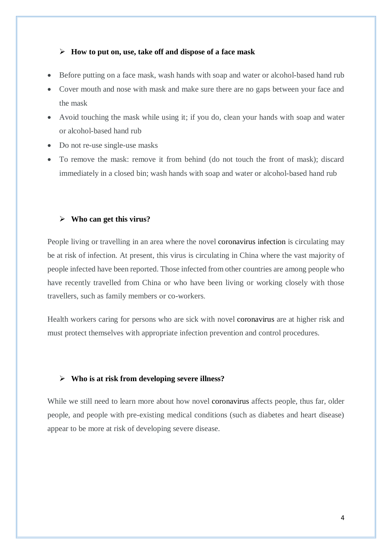### **[How to put on, use, take off and dispose of a face mask](https://www.who.int/news-room/q-a-detail/q-a-coronaviruses)**

- Before putting on a face mask, wash hands with soap and water or alcohol-based hand rub
- Cover mouth and nose with mask and make sure there are no gaps between your face and the mask
- Avoid touching the mask while using it; if you do, clean your hands with soap and water or alcohol-based hand rub
- Do not re-use single-use masks
- To remove the mask: remove it from behind (do not touch the front of mask); discard immediately in a closed bin; wash hands with soap and water or alcohol-based hand rub

### **[Who can get](https://www.who.int/news-room/q-a-detail/q-a-coronaviruses) this virus?**

People living or travelling in an area where the novel coronavirus infection is circulating may be at risk of infection. At present, this virus is circulating in China where the vast majority of people infected have been reported. Those infected from other countries are among people who have recently travelled from China or who have been living or working closely with those travellers, such as family members or co-workers.

Health workers caring for persons who are sick with novel coronavirus are at higher risk and must protect themselves with appropriate infection prevention and control procedures.

### **[Who is at risk from developing severe illness?](https://www.who.int/news-room/q-a-detail/q-a-coronaviruses)**

While we still need to learn more about how novel coronavirus affects people, thus far, older people, and people with pre-existing medical conditions (such as diabetes and heart disease) appear to be more at risk of developing severe disease.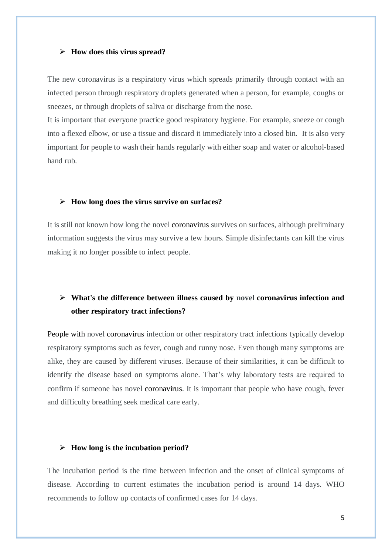#### **[How does this virus spread?](https://www.who.int/news-room/q-a-detail/q-a-coronaviruses)**

The new coronavirus is a respiratory virus which spreads primarily through contact with an infected person through respiratory droplets generated when a person, for example, coughs or sneezes, or through droplets of saliva or discharge from the nose.

It is important that everyone practice good respiratory hygiene. For example, sneeze or cough into a flexed elbow, or use a tissue and discard it immediately into a closed bin. It is also very important for people to wash their hands regularly with either soap and water or alcohol-based hand rub.

#### **[How long does the virus survive on surfaces?](https://www.who.int/news-room/q-a-detail/q-a-coronaviruses)**

It is still not known how long the novel coronavirus survives on surfaces, although preliminary information suggests the virus may survive a few hours. Simple disinfectants can kill the virus making it no longer possible to infect people.

# **[What's the difference between illness caused by novel coronavirus](https://www.who.int/news-room/q-a-detail/q-a-coronaviruses) infection and [other respiratory tract infections?](https://www.who.int/news-room/q-a-detail/q-a-coronaviruses)**

People with novel coronavirus infection or other respiratory tract infections typically develop respiratory symptoms such as fever, cough and runny nose. Even though many symptoms are alike, they are caused by different viruses. Because of their similarities, it can be difficult to identify the disease based on symptoms alone. That's why laboratory tests are required to confirm if someone has novel coronavirus. It is important that people who have cough, fever and difficulty breathing seek medical care early.

### **[How long is the incubation period?](https://www.who.int/news-room/q-a-detail/q-a-coronaviruses)**

The incubation period is the time between infection and the onset of clinical symptoms of disease. According to current estimates the incubation period is around 14 days. WHO recommends to follow up contacts of confirmed cases for 14 days.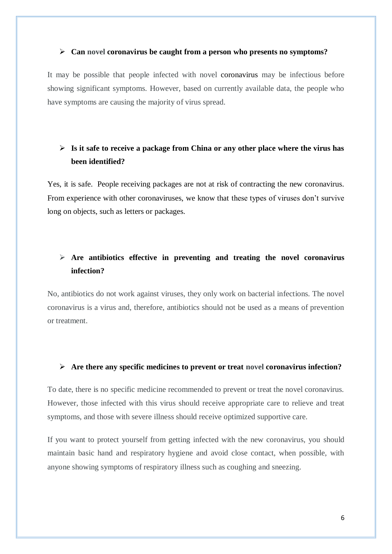#### **Can novel coronavirus [be caught from a person who presents no symptoms?](https://www.who.int/news-room/q-a-detail/q-a-coronaviruses)**

It may be possible that people infected with novel coronavirus may be infectious before showing significant symptoms. However, based on currently available data, the people who have symptoms are causing the majority of virus spread.

# **[Is it safe to receive a package from China or any other place where the virus has](https://www.who.int/news-room/q-a-detail/q-a-coronaviruses)  [been identified?](https://www.who.int/news-room/q-a-detail/q-a-coronaviruses)**

Yes, it is safe. People receiving packages are not at risk of contracting the new coronavirus. From experience with other coronaviruses, we know that these types of viruses don't survive long on objects, such as letters or packages.

# **[Are antibiotics effective in preventing and treating the novel coronavirus](https://www.who.int/news-room/q-a-detail/q-a-coronaviruses) [infection?](https://www.who.int/news-room/q-a-detail/q-a-coronaviruses)**

No, antibiotics do not work against viruses, they only work on bacterial infections. The novel coronavirus is a virus and, therefore, antibiotics should not be used as a means of prevention or treatment.

### **[Are there any specific medicines to prevent or treat novel coronavirus](https://www.who.int/news-room/q-a-detail/q-a-coronaviruses) infection?**

To date, there is no specific medicine recommended to prevent or treat the novel coronavirus. However, those infected with this virus should receive appropriate care to relieve and treat symptoms, and those with severe illness should receive optimized supportive care.

If you want to protect yourself from getting infected with the new coronavirus, you should maintain basic hand and respiratory hygiene and avoid close contact, when possible, with anyone showing symptoms of respiratory illness such as coughing and sneezing.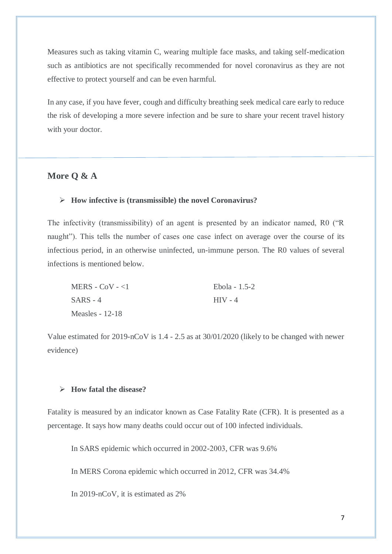Measures such as taking vitamin C, wearing multiple face masks, and taking self-medication such as antibiotics are not specifically recommended for novel coronavirus as they are not effective to protect yourself and can be even harmful.

In any case, if you have fever, cough and difficulty breathing seek medical care early to reduce the risk of developing a more severe infection and be sure to share your recent travel history with your doctor.

## **More Q & A**

### **How infective is (transmissible) the novel Coronavirus?**

The infectivity (transmissibility) of an agent is presented by an indicator named, R0 ("R naught"). This tells the number of cases one case infect on average over the course of its infectious period, in an otherwise uninfected, un-immune person. The R0 values of several infections is mentioned below.

| MERS - $CoV - 1$ | Ebola - 1.5-2 |
|------------------|---------------|
| $SARS - 4$       | $HIV - 4$     |
| Measles $-12-18$ |               |

Value estimated for 2019-nCoV is 1.4 - 2.5 as at 30/01/2020 (likely to be changed with newer evidence)

### **How fatal the disease?**

Fatality is measured by an indicator known as Case Fatality Rate (CFR). It is presented as a percentage. It says how many deaths could occur out of 100 infected individuals.

In SARS epidemic which occurred in 2002-2003, CFR was 9.6%

In MERS Corona epidemic which occurred in 2012, CFR was 34.4%

In 2019-nCoV, it is estimated as 2%